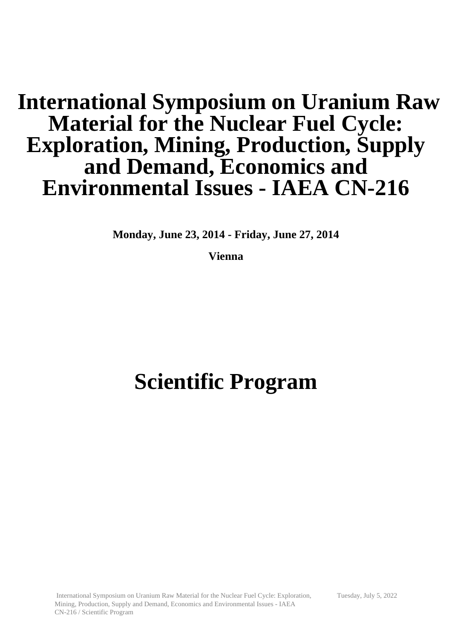## **International Symposium on Uranium Raw Material for the Nuclear Fuel Cycle: Exploration, Mining, Production, Supply and Demand, Economics and Environmental Issues - IAEA CN-216**

**Monday, June 23, 2014 - Friday, June 27, 2014**

**Vienna**

# **Scientific Program**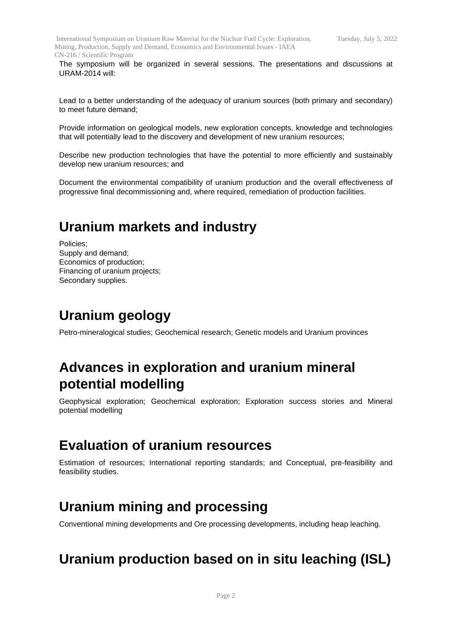The symposium will be organized in several sessions. The presentations and discussions at URAM-2014 will:

Lead to a better understanding of the adequacy of uranium sources (both primary and secondary) to meet future demand;

Provide information on geological models, new exploration concepts, knowledge and technologies that will potentially lead to the discovery and development of new uranium resources;

Describe new production technologies that have the potential to more efficiently and sustainably develop new uranium resources; and

Document the environmental compatibility of uranium production and the overall effectiveness of progressive final decommissioning and, where required, remediation of production facilities.

#### **Uranium markets and industry**

Policies; Supply and demand; Economics of production; Financing of uranium projects; Secondary supplies.

#### **Uranium geology**

Petro-mineralogical studies; Geochemical research; Genetic models and Uranium provinces

#### **Advances in exploration and uranium mineral potential modelling**

Geophysical exploration; Geochemical exploration; Exploration success stories and Mineral potential modelling

#### **Evaluation of uranium resources**

Estimation of resources; International reporting standards; and Conceptual, pre-feasibility and feasibility studies.

#### **Uranium mining and processing**

Conventional mining developments and Ore processing developments, including heap leaching.

#### **Uranium production based on in situ leaching (ISL)**